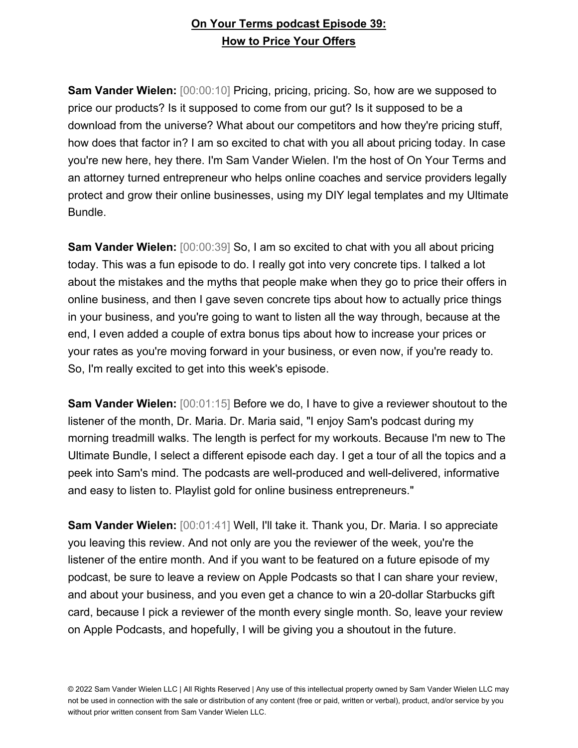**Sam Vander Wielen:** [00:00:10] Pricing, pricing, pricing. So, how are we supposed to price our products? Is it supposed to come from our gut? Is it supposed to be a download from the universe? What about our competitors and how they're pricing stuff, how does that factor in? I am so excited to chat with you all about pricing today. In case you're new here, hey there. I'm Sam Vander Wielen. I'm the host of On Your Terms and an attorney turned entrepreneur who helps online coaches and service providers legally protect and grow their online businesses, using my DIY legal templates and my Ultimate Bundle.

**Sam Vander Wielen:** [00:00:39] So, I am so excited to chat with you all about pricing today. This was a fun episode to do. I really got into very concrete tips. I talked a lot about the mistakes and the myths that people make when they go to price their offers in online business, and then I gave seven concrete tips about how to actually price things in your business, and you're going to want to listen all the way through, because at the end, I even added a couple of extra bonus tips about how to increase your prices or your rates as you're moving forward in your business, or even now, if you're ready to. So, I'm really excited to get into this week's episode.

**Sam Vander Wielen:**  $[00:01:15]$  Before we do, I have to give a reviewer shoutout to the listener of the month, Dr. Maria. Dr. Maria said, "I enjoy Sam's podcast during my morning treadmill walks. The length is perfect for my workouts. Because I'm new to The Ultimate Bundle, I select a different episode each day. I get a tour of all the topics and a peek into Sam's mind. The podcasts are well-produced and well-delivered, informative and easy to listen to. Playlist gold for online business entrepreneurs."

**Sam Vander Wielen:** [00:01:41] Well, I'll take it. Thank you, Dr. Maria. I so appreciate you leaving this review. And not only are you the reviewer of the week, you're the listener of the entire month. And if you want to be featured on a future episode of my podcast, be sure to leave a review on Apple Podcasts so that I can share your review, and about your business, and you even get a chance to win a 20-dollar Starbucks gift card, because I pick a reviewer of the month every single month. So, leave your review on Apple Podcasts, and hopefully, I will be giving you a shoutout in the future.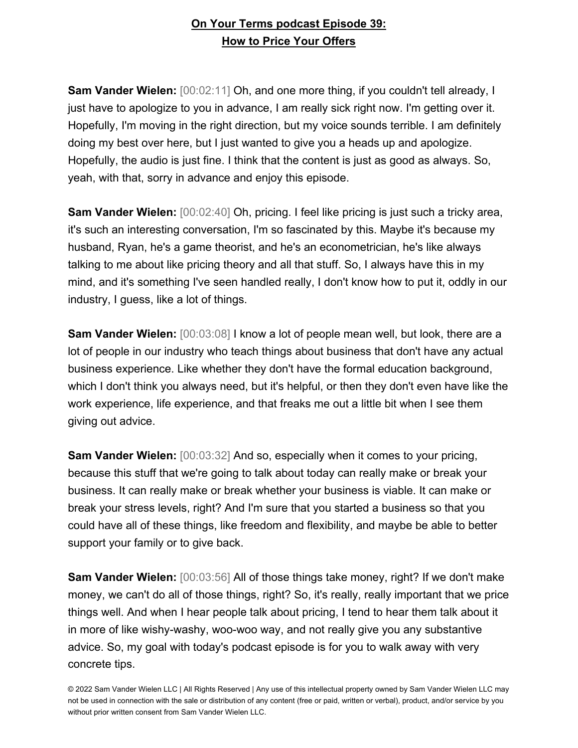**Sam Vander Wielen:** [00:02:11] Oh, and one more thing, if you couldn't tell already, I just have to apologize to you in advance, I am really sick right now. I'm getting over it. Hopefully, I'm moving in the right direction, but my voice sounds terrible. I am definitely doing my best over here, but I just wanted to give you a heads up and apologize. Hopefully, the audio is just fine. I think that the content is just as good as always. So, yeah, with that, sorry in advance and enjoy this episode.

**Sam Vander Wielen:** [00:02:40] Oh, pricing. I feel like pricing is just such a tricky area, it's such an interesting conversation, I'm so fascinated by this. Maybe it's because my husband, Ryan, he's a game theorist, and he's an econometrician, he's like always talking to me about like pricing theory and all that stuff. So, I always have this in my mind, and it's something I've seen handled really, I don't know how to put it, oddly in our industry, I guess, like a lot of things.

**Sam Vander Wielen:** [00:03:08] I know a lot of people mean well, but look, there are a lot of people in our industry who teach things about business that don't have any actual business experience. Like whether they don't have the formal education background, which I don't think you always need, but it's helpful, or then they don't even have like the work experience, life experience, and that freaks me out a little bit when I see them giving out advice.

**Sam Vander Wielen:** [00:03:32] And so, especially when it comes to your pricing, because this stuff that we're going to talk about today can really make or break your business. It can really make or break whether your business is viable. It can make or break your stress levels, right? And I'm sure that you started a business so that you could have all of these things, like freedom and flexibility, and maybe be able to better support your family or to give back.

**Sam Vander Wielen:** [00:03:56] All of those things take money, right? If we don't make money, we can't do all of those things, right? So, it's really, really important that we price things well. And when I hear people talk about pricing, I tend to hear them talk about it in more of like wishy-washy, woo-woo way, and not really give you any substantive advice. So, my goal with today's podcast episode is for you to walk away with very concrete tips.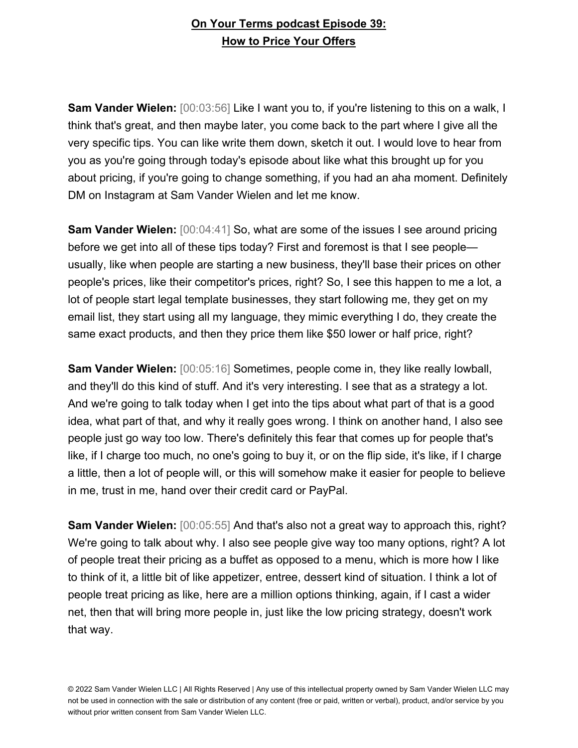**Sam Vander Wielen:** [00:03:56] Like I want you to, if you're listening to this on a walk, I think that's great, and then maybe later, you come back to the part where I give all the very specific tips. You can like write them down, sketch it out. I would love to hear from you as you're going through today's episode about like what this brought up for you about pricing, if you're going to change something, if you had an aha moment. Definitely DM on Instagram at Sam Vander Wielen and let me know.

**Sam Vander Wielen:** [00:04:41] So, what are some of the issues I see around pricing before we get into all of these tips today? First and foremost is that I see people usually, like when people are starting a new business, they'll base their prices on other people's prices, like their competitor's prices, right? So, I see this happen to me a lot, a lot of people start legal template businesses, they start following me, they get on my email list, they start using all my language, they mimic everything I do, they create the same exact products, and then they price them like \$50 lower or half price, right?

**Sam Vander Wielen:** [00:05:16] Sometimes, people come in, they like really lowball, and they'll do this kind of stuff. And it's very interesting. I see that as a strategy a lot. And we're going to talk today when I get into the tips about what part of that is a good idea, what part of that, and why it really goes wrong. I think on another hand, I also see people just go way too low. There's definitely this fear that comes up for people that's like, if I charge too much, no one's going to buy it, or on the flip side, it's like, if I charge a little, then a lot of people will, or this will somehow make it easier for people to believe in me, trust in me, hand over their credit card or PayPal.

**Sam Vander Wielen:** [00:05:55] And that's also not a great way to approach this, right? We're going to talk about why. I also see people give way too many options, right? A lot of people treat their pricing as a buffet as opposed to a menu, which is more how I like to think of it, a little bit of like appetizer, entree, dessert kind of situation. I think a lot of people treat pricing as like, here are a million options thinking, again, if I cast a wider net, then that will bring more people in, just like the low pricing strategy, doesn't work that way.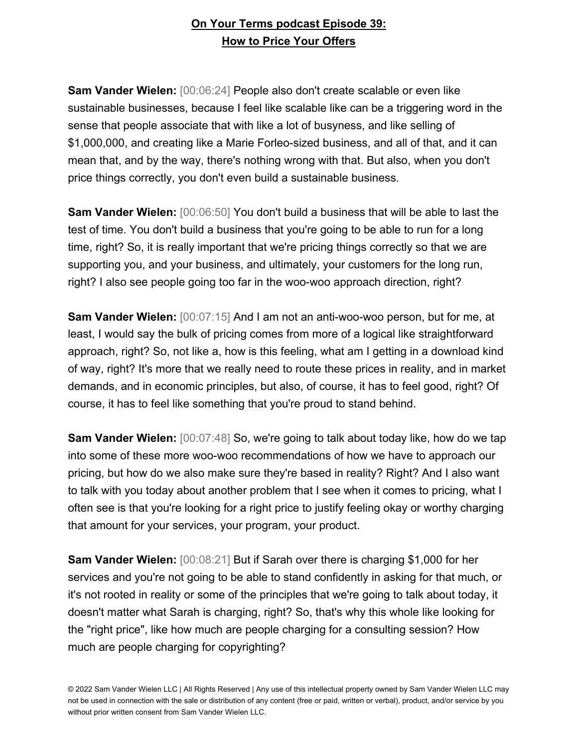**Sam Vander Wielen:** [00:06:24] People also don't create scalable or even like sustainable businesses, because I feel like scalable like can be a triggering word in the sense that people associate that with like a lot of busyness, and like selling of \$1,000,000, and creating like a Marie Forleo-sized business, and all of that, and it can mean that, and by the way, there's nothing wrong with that. But also, when you don't price things correctly, you don't even build a sustainable business.

**Sam Vander Wielen:** [00:06:50] You don't build a business that will be able to last the test of time. You don't build a business that you're going to be able to run for a long time, right? So, it is really important that we're pricing things correctly so that we are supporting you, and your business, and ultimately, your customers for the long run, right? I also see people going too far in the woo-woo approach direction, right?

**Sam Vander Wielen:** [00:07:15] And I am not an anti-woo-woo person, but for me, at least, I would say the bulk of pricing comes from more of a logical like straightforward approach, right? So, not like a, how is this feeling, what am I getting in a download kind of way, right? It's more that we really need to route these prices in reality, and in market demands, and in economic principles, but also, of course, it has to feel good, right? Of course, it has to feel like something that you're proud to stand behind.

**Sam Vander Wielen:** [00:07:48] So, we're going to talk about today like, how do we tap into some of these more woo-woo recommendations of how we have to approach our pricing, but how do we also make sure they're based in reality? Right? And I also want to talk with you today about another problem that I see when it comes to pricing, what I often see is that you're looking for a right price to justify feeling okay or worthy charging that amount for your services, your program, your product.

**Sam Vander Wielen:** [00:08:21] But if Sarah over there is charging \$1,000 for her services and you're not going to be able to stand confidently in asking for that much, or it's not rooted in reality or some of the principles that we're going to talk about today, it doesn't matter what Sarah is charging, right? So, that's why this whole like looking for the "right price", like how much are people charging for a consulting session? How much are people charging for copyrighting?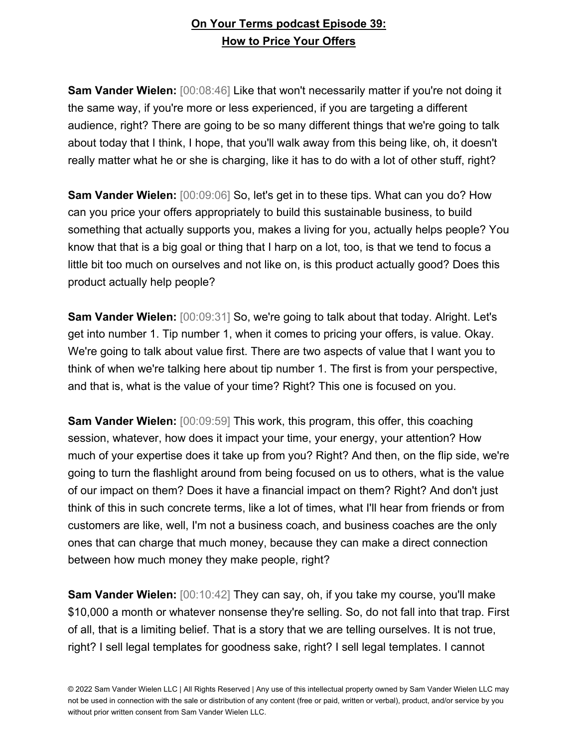**Sam Vander Wielen:** [00:08:46] Like that won't necessarily matter if you're not doing it the same way, if you're more or less experienced, if you are targeting a different audience, right? There are going to be so many different things that we're going to talk about today that I think, I hope, that you'll walk away from this being like, oh, it doesn't really matter what he or she is charging, like it has to do with a lot of other stuff, right?

**Sam Vander Wielen:** [00:09:06] So, let's get in to these tips. What can you do? How can you price your offers appropriately to build this sustainable business, to build something that actually supports you, makes a living for you, actually helps people? You know that that is a big goal or thing that I harp on a lot, too, is that we tend to focus a little bit too much on ourselves and not like on, is this product actually good? Does this product actually help people?

**Sam Vander Wielen:** [00:09:31] So, we're going to talk about that today. Alright. Let's get into number 1. Tip number 1, when it comes to pricing your offers, is value. Okay. We're going to talk about value first. There are two aspects of value that I want you to think of when we're talking here about tip number 1. The first is from your perspective, and that is, what is the value of your time? Right? This one is focused on you.

**Sam Vander Wielen:** [00:09:59] This work, this program, this offer, this coaching session, whatever, how does it impact your time, your energy, your attention? How much of your expertise does it take up from you? Right? And then, on the flip side, we're going to turn the flashlight around from being focused on us to others, what is the value of our impact on them? Does it have a financial impact on them? Right? And don't just think of this in such concrete terms, like a lot of times, what I'll hear from friends or from customers are like, well, I'm not a business coach, and business coaches are the only ones that can charge that much money, because they can make a direct connection between how much money they make people, right?

**Sam Vander Wielen:** [00:10:42] They can say, oh, if you take my course, you'll make \$10,000 a month or whatever nonsense they're selling. So, do not fall into that trap. First of all, that is a limiting belief. That is a story that we are telling ourselves. It is not true, right? I sell legal templates for goodness sake, right? I sell legal templates. I cannot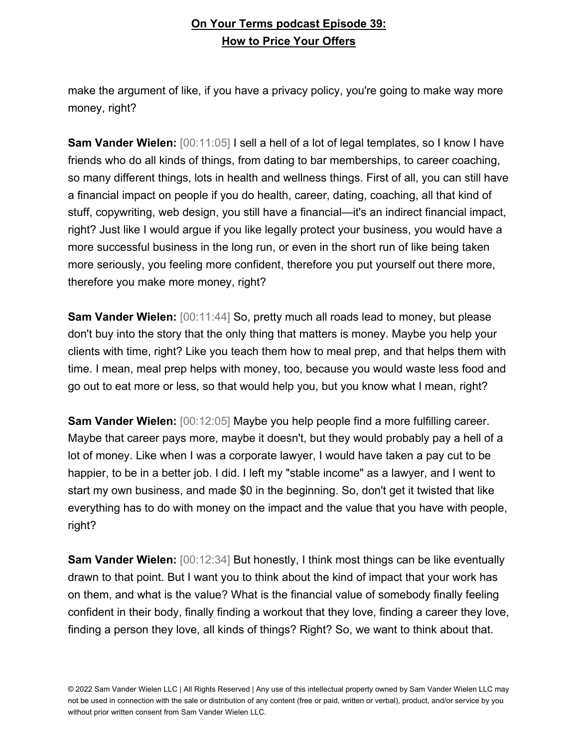make the argument of like, if you have a privacy policy, you're going to make way more money, right?

**Sam Vander Wielen:** [00:11:05] I sell a hell of a lot of legal templates, so I know I have friends who do all kinds of things, from dating to bar memberships, to career coaching, so many different things, lots in health and wellness things. First of all, you can still have a financial impact on people if you do health, career, dating, coaching, all that kind of stuff, copywriting, web design, you still have a financial—it's an indirect financial impact, right? Just like I would argue if you like legally protect your business, you would have a more successful business in the long run, or even in the short run of like being taken more seriously, you feeling more confident, therefore you put yourself out there more, therefore you make more money, right?

**Sam Vander Wielen:** [00:11:44] So, pretty much all roads lead to money, but please don't buy into the story that the only thing that matters is money. Maybe you help your clients with time, right? Like you teach them how to meal prep, and that helps them with time. I mean, meal prep helps with money, too, because you would waste less food and go out to eat more or less, so that would help you, but you know what I mean, right?

**Sam Vander Wielen:** [00:12:05] Maybe you help people find a more fulfilling career. Maybe that career pays more, maybe it doesn't, but they would probably pay a hell of a lot of money. Like when I was a corporate lawyer, I would have taken a pay cut to be happier, to be in a better job. I did. I left my "stable income" as a lawyer, and I went to start my own business, and made \$0 in the beginning. So, don't get it twisted that like everything has to do with money on the impact and the value that you have with people, right?

**Sam Vander Wielen:** [00:12:34] But honestly, I think most things can be like eventually drawn to that point. But I want you to think about the kind of impact that your work has on them, and what is the value? What is the financial value of somebody finally feeling confident in their body, finally finding a workout that they love, finding a career they love, finding a person they love, all kinds of things? Right? So, we want to think about that.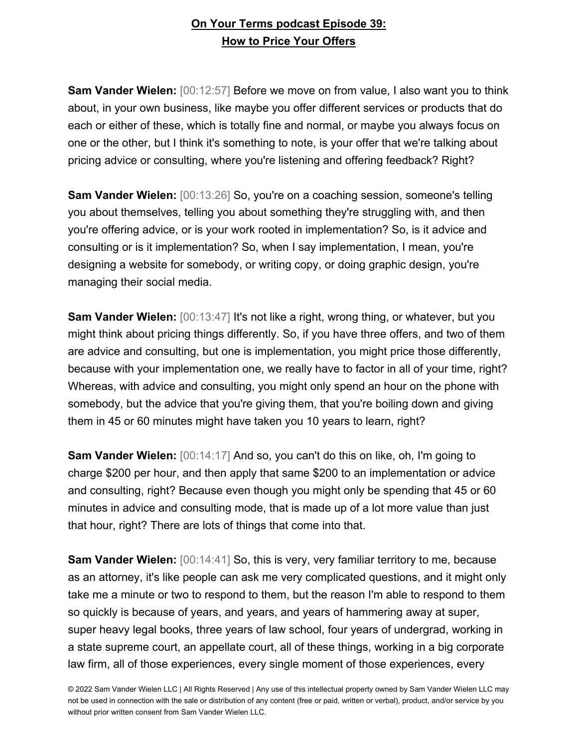**Sam Vander Wielen:** [00:12:57] Before we move on from value, I also want you to think about, in your own business, like maybe you offer different services or products that do each or either of these, which is totally fine and normal, or maybe you always focus on one or the other, but I think it's something to note, is your offer that we're talking about pricing advice or consulting, where you're listening and offering feedback? Right?

**Sam Vander Wielen:** [00:13:26] So, you're on a coaching session, someone's telling you about themselves, telling you about something they're struggling with, and then you're offering advice, or is your work rooted in implementation? So, is it advice and consulting or is it implementation? So, when I say implementation, I mean, you're designing a website for somebody, or writing copy, or doing graphic design, you're managing their social media.

**Sam Vander Wielen:** [00:13:47] It's not like a right, wrong thing, or whatever, but you might think about pricing things differently. So, if you have three offers, and two of them are advice and consulting, but one is implementation, you might price those differently, because with your implementation one, we really have to factor in all of your time, right? Whereas, with advice and consulting, you might only spend an hour on the phone with somebody, but the advice that you're giving them, that you're boiling down and giving them in 45 or 60 minutes might have taken you 10 years to learn, right?

**Sam Vander Wielen:** [00:14:17] And so, you can't do this on like, oh, I'm going to charge \$200 per hour, and then apply that same \$200 to an implementation or advice and consulting, right? Because even though you might only be spending that 45 or 60 minutes in advice and consulting mode, that is made up of a lot more value than just that hour, right? There are lots of things that come into that.

**Sam Vander Wielen:** [00:14:41] So, this is very, very familiar territory to me, because as an attorney, it's like people can ask me very complicated questions, and it might only take me a minute or two to respond to them, but the reason I'm able to respond to them so quickly is because of years, and years, and years of hammering away at super, super heavy legal books, three years of law school, four years of undergrad, working in a state supreme court, an appellate court, all of these things, working in a big corporate law firm, all of those experiences, every single moment of those experiences, every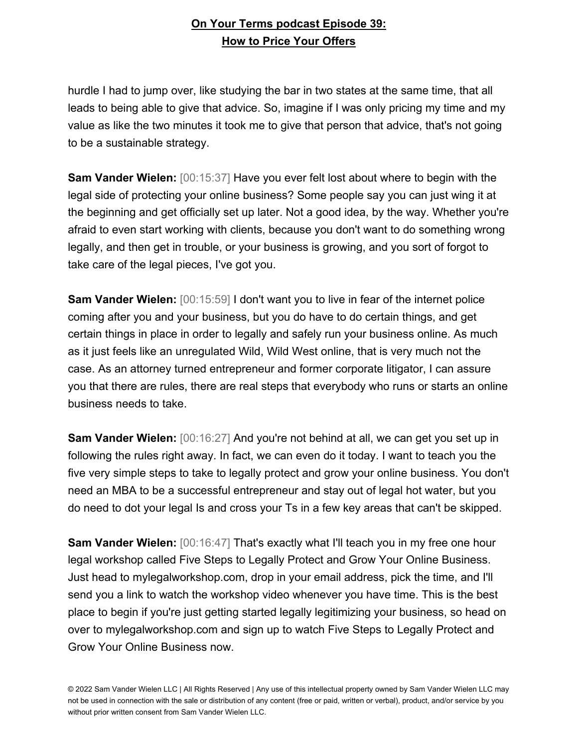hurdle I had to jump over, like studying the bar in two states at the same time, that all leads to being able to give that advice. So, imagine if I was only pricing my time and my value as like the two minutes it took me to give that person that advice, that's not going to be a sustainable strategy.

**Sam Vander Wielen:** [00:15:37] Have you ever felt lost about where to begin with the legal side of protecting your online business? Some people say you can just wing it at the beginning and get officially set up later. Not a good idea, by the way. Whether you're afraid to even start working with clients, because you don't want to do something wrong legally, and then get in trouble, or your business is growing, and you sort of forgot to take care of the legal pieces, I've got you.

**Sam Vander Wielen:** [00:15:59] I don't want you to live in fear of the internet police coming after you and your business, but you do have to do certain things, and get certain things in place in order to legally and safely run your business online. As much as it just feels like an unregulated Wild, Wild West online, that is very much not the case. As an attorney turned entrepreneur and former corporate litigator, I can assure you that there are rules, there are real steps that everybody who runs or starts an online business needs to take.

**Sam Vander Wielen:** [00:16:27] And you're not behind at all, we can get you set up in following the rules right away. In fact, we can even do it today. I want to teach you the five very simple steps to take to legally protect and grow your online business. You don't need an MBA to be a successful entrepreneur and stay out of legal hot water, but you do need to dot your legal Is and cross your Ts in a few key areas that can't be skipped.

**Sam Vander Wielen:** [00:16:47] That's exactly what I'll teach you in my free one hour legal workshop called Five Steps to Legally Protect and Grow Your Online Business. Just head to mylegalworkshop.com, drop in your email address, pick the time, and I'll send you a link to watch the workshop video whenever you have time. This is the best place to begin if you're just getting started legally legitimizing your business, so head on over to mylegalworkshop.com and sign up to watch Five Steps to Legally Protect and Grow Your Online Business now.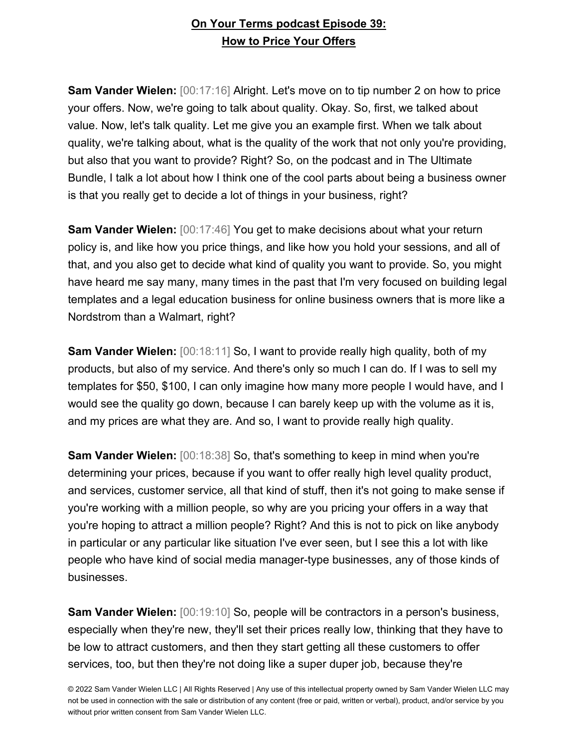**Sam Vander Wielen:** [00:17:16] Alright. Let's move on to tip number 2 on how to price your offers. Now, we're going to talk about quality. Okay. So, first, we talked about value. Now, let's talk quality. Let me give you an example first. When we talk about quality, we're talking about, what is the quality of the work that not only you're providing, but also that you want to provide? Right? So, on the podcast and in The Ultimate Bundle, I talk a lot about how I think one of the cool parts about being a business owner is that you really get to decide a lot of things in your business, right?

**Sam Vander Wielen:** [00:17:46] You get to make decisions about what your return policy is, and like how you price things, and like how you hold your sessions, and all of that, and you also get to decide what kind of quality you want to provide. So, you might have heard me say many, many times in the past that I'm very focused on building legal templates and a legal education business for online business owners that is more like a Nordstrom than a Walmart, right?

**Sam Vander Wielen:** [00:18:11] So, I want to provide really high quality, both of my products, but also of my service. And there's only so much I can do. If I was to sell my templates for \$50, \$100, I can only imagine how many more people I would have, and I would see the quality go down, because I can barely keep up with the volume as it is, and my prices are what they are. And so, I want to provide really high quality.

**Sam Vander Wielen:** [00:18:38] So, that's something to keep in mind when you're determining your prices, because if you want to offer really high level quality product, and services, customer service, all that kind of stuff, then it's not going to make sense if you're working with a million people, so why are you pricing your offers in a way that you're hoping to attract a million people? Right? And this is not to pick on like anybody in particular or any particular like situation I've ever seen, but I see this a lot with like people who have kind of social media manager-type businesses, any of those kinds of businesses.

**Sam Vander Wielen:** [00:19:10] So, people will be contractors in a person's business, especially when they're new, they'll set their prices really low, thinking that they have to be low to attract customers, and then they start getting all these customers to offer services, too, but then they're not doing like a super duper job, because they're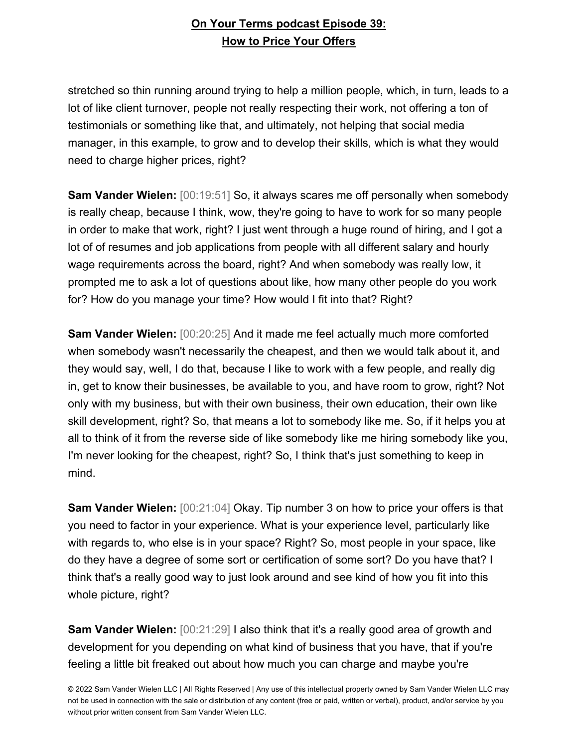stretched so thin running around trying to help a million people, which, in turn, leads to a lot of like client turnover, people not really respecting their work, not offering a ton of testimonials or something like that, and ultimately, not helping that social media manager, in this example, to grow and to develop their skills, which is what they would need to charge higher prices, right?

**Sam Vander Wielen:** [00:19:51] So, it always scares me off personally when somebody is really cheap, because I think, wow, they're going to have to work for so many people in order to make that work, right? I just went through a huge round of hiring, and I got a lot of of resumes and job applications from people with all different salary and hourly wage requirements across the board, right? And when somebody was really low, it prompted me to ask a lot of questions about like, how many other people do you work for? How do you manage your time? How would I fit into that? Right?

**Sam Vander Wielen:** [00:20:25] And it made me feel actually much more comforted when somebody wasn't necessarily the cheapest, and then we would talk about it, and they would say, well, I do that, because I like to work with a few people, and really dig in, get to know their businesses, be available to you, and have room to grow, right? Not only with my business, but with their own business, their own education, their own like skill development, right? So, that means a lot to somebody like me. So, if it helps you at all to think of it from the reverse side of like somebody like me hiring somebody like you, I'm never looking for the cheapest, right? So, I think that's just something to keep in mind.

**Sam Vander Wielen:** [00:21:04] Okay. Tip number 3 on how to price your offers is that you need to factor in your experience. What is your experience level, particularly like with regards to, who else is in your space? Right? So, most people in your space, like do they have a degree of some sort or certification of some sort? Do you have that? I think that's a really good way to just look around and see kind of how you fit into this whole picture, right?

**Sam Vander Wielen:** [00:21:29] I also think that it's a really good area of growth and development for you depending on what kind of business that you have, that if you're feeling a little bit freaked out about how much you can charge and maybe you're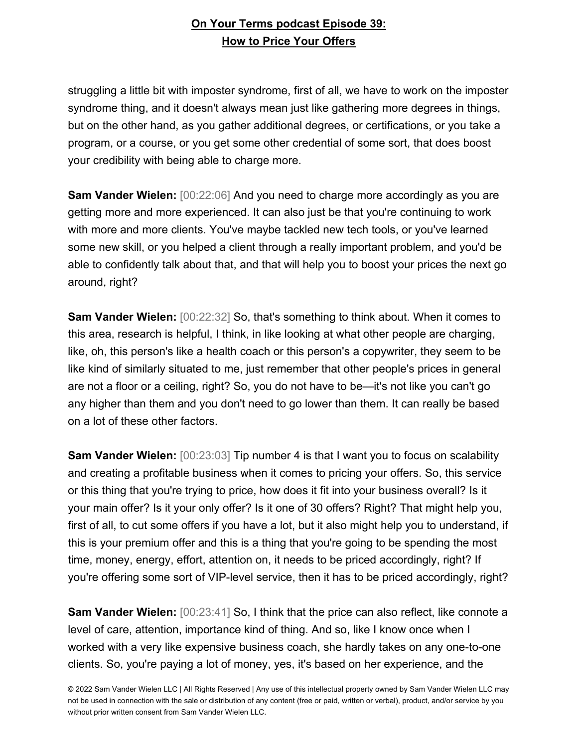struggling a little bit with imposter syndrome, first of all, we have to work on the imposter syndrome thing, and it doesn't always mean just like gathering more degrees in things, but on the other hand, as you gather additional degrees, or certifications, or you take a program, or a course, or you get some other credential of some sort, that does boost your credibility with being able to charge more.

**Sam Vander Wielen:** [00:22:06] And you need to charge more accordingly as you are getting more and more experienced. It can also just be that you're continuing to work with more and more clients. You've maybe tackled new tech tools, or you've learned some new skill, or you helped a client through a really important problem, and you'd be able to confidently talk about that, and that will help you to boost your prices the next go around, right?

**Sam Vander Wielen:** [00:22:32] So, that's something to think about. When it comes to this area, research is helpful, I think, in like looking at what other people are charging, like, oh, this person's like a health coach or this person's a copywriter, they seem to be like kind of similarly situated to me, just remember that other people's prices in general are not a floor or a ceiling, right? So, you do not have to be—it's not like you can't go any higher than them and you don't need to go lower than them. It can really be based on a lot of these other factors.

**Sam Vander Wielen:** [00:23:03] Tip number 4 is that I want you to focus on scalability and creating a profitable business when it comes to pricing your offers. So, this service or this thing that you're trying to price, how does it fit into your business overall? Is it your main offer? Is it your only offer? Is it one of 30 offers? Right? That might help you, first of all, to cut some offers if you have a lot, but it also might help you to understand, if this is your premium offer and this is a thing that you're going to be spending the most time, money, energy, effort, attention on, it needs to be priced accordingly, right? If you're offering some sort of VIP-level service, then it has to be priced accordingly, right?

**Sam Vander Wielen:** [00:23:41] So, I think that the price can also reflect, like connote a level of care, attention, importance kind of thing. And so, like I know once when I worked with a very like expensive business coach, she hardly takes on any one-to-one clients. So, you're paying a lot of money, yes, it's based on her experience, and the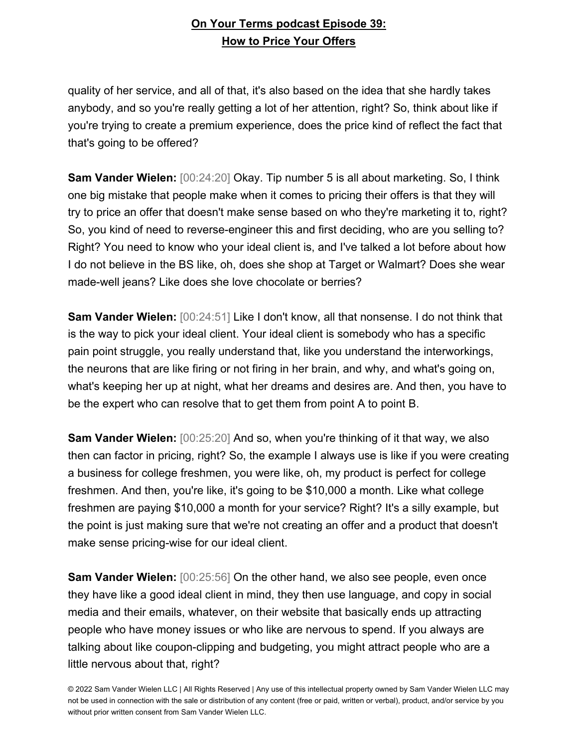quality of her service, and all of that, it's also based on the idea that she hardly takes anybody, and so you're really getting a lot of her attention, right? So, think about like if you're trying to create a premium experience, does the price kind of reflect the fact that that's going to be offered?

**Sam Vander Wielen:** [00:24:20] Okay. Tip number 5 is all about marketing. So, I think one big mistake that people make when it comes to pricing their offers is that they will try to price an offer that doesn't make sense based on who they're marketing it to, right? So, you kind of need to reverse-engineer this and first deciding, who are you selling to? Right? You need to know who your ideal client is, and I've talked a lot before about how I do not believe in the BS like, oh, does she shop at Target or Walmart? Does she wear made-well jeans? Like does she love chocolate or berries?

**Sam Vander Wielen:** [00:24:51] Like I don't know, all that nonsense. I do not think that is the way to pick your ideal client. Your ideal client is somebody who has a specific pain point struggle, you really understand that, like you understand the interworkings, the neurons that are like firing or not firing in her brain, and why, and what's going on, what's keeping her up at night, what her dreams and desires are. And then, you have to be the expert who can resolve that to get them from point A to point B.

**Sam Vander Wielen:** [00:25:20] And so, when you're thinking of it that way, we also then can factor in pricing, right? So, the example I always use is like if you were creating a business for college freshmen, you were like, oh, my product is perfect for college freshmen. And then, you're like, it's going to be \$10,000 a month. Like what college freshmen are paying \$10,000 a month for your service? Right? It's a silly example, but the point is just making sure that we're not creating an offer and a product that doesn't make sense pricing-wise for our ideal client.

**Sam Vander Wielen:** [00:25:56] On the other hand, we also see people, even once they have like a good ideal client in mind, they then use language, and copy in social media and their emails, whatever, on their website that basically ends up attracting people who have money issues or who like are nervous to spend. If you always are talking about like coupon-clipping and budgeting, you might attract people who are a little nervous about that, right?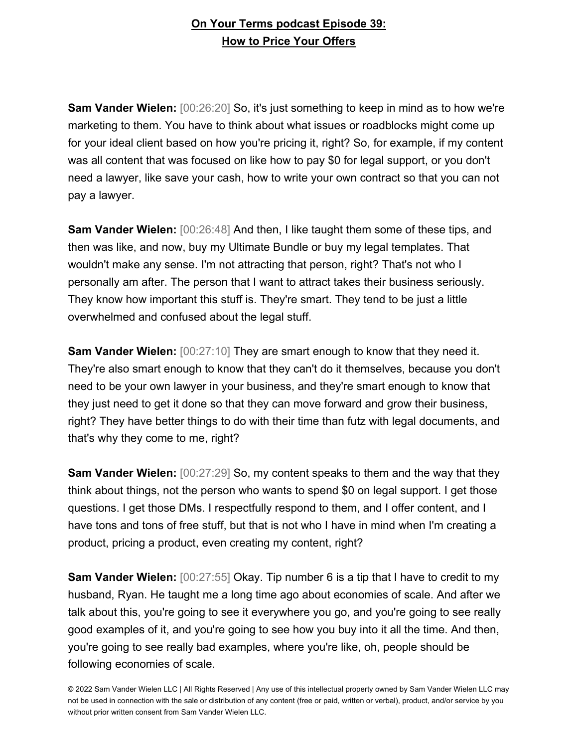**Sam Vander Wielen:** [00:26:20] So, it's just something to keep in mind as to how we're marketing to them. You have to think about what issues or roadblocks might come up for your ideal client based on how you're pricing it, right? So, for example, if my content was all content that was focused on like how to pay \$0 for legal support, or you don't need a lawyer, like save your cash, how to write your own contract so that you can not pay a lawyer.

**Sam Vander Wielen:** [00:26:48] And then, I like taught them some of these tips, and then was like, and now, buy my Ultimate Bundle or buy my legal templates. That wouldn't make any sense. I'm not attracting that person, right? That's not who I personally am after. The person that I want to attract takes their business seriously. They know how important this stuff is. They're smart. They tend to be just a little overwhelmed and confused about the legal stuff.

**Sam Vander Wielen:** [00:27:10] They are smart enough to know that they need it. They're also smart enough to know that they can't do it themselves, because you don't need to be your own lawyer in your business, and they're smart enough to know that they just need to get it done so that they can move forward and grow their business, right? They have better things to do with their time than futz with legal documents, and that's why they come to me, right?

**Sam Vander Wielen:** [00:27:29] So, my content speaks to them and the way that they think about things, not the person who wants to spend \$0 on legal support. I get those questions. I get those DMs. I respectfully respond to them, and I offer content, and I have tons and tons of free stuff, but that is not who I have in mind when I'm creating a product, pricing a product, even creating my content, right?

**Sam Vander Wielen:** [00:27:55] Okay. Tip number 6 is a tip that I have to credit to my husband, Ryan. He taught me a long time ago about economies of scale. And after we talk about this, you're going to see it everywhere you go, and you're going to see really good examples of it, and you're going to see how you buy into it all the time. And then, you're going to see really bad examples, where you're like, oh, people should be following economies of scale.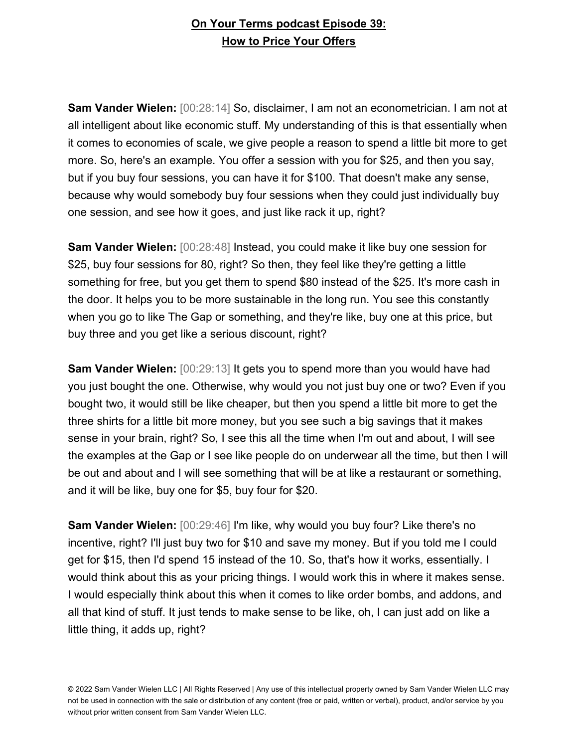**Sam Vander Wielen:** [00:28:14] So, disclaimer, I am not an econometrician. I am not at all intelligent about like economic stuff. My understanding of this is that essentially when it comes to economies of scale, we give people a reason to spend a little bit more to get more. So, here's an example. You offer a session with you for \$25, and then you say, but if you buy four sessions, you can have it for \$100. That doesn't make any sense, because why would somebody buy four sessions when they could just individually buy one session, and see how it goes, and just like rack it up, right?

**Sam Vander Wielen:** [00:28:48] Instead, you could make it like buy one session for \$25, buy four sessions for 80, right? So then, they feel like they're getting a little something for free, but you get them to spend \$80 instead of the \$25. It's more cash in the door. It helps you to be more sustainable in the long run. You see this constantly when you go to like The Gap or something, and they're like, buy one at this price, but buy three and you get like a serious discount, right?

**Sam Vander Wielen:** [00:29:13] It gets you to spend more than you would have had you just bought the one. Otherwise, why would you not just buy one or two? Even if you bought two, it would still be like cheaper, but then you spend a little bit more to get the three shirts for a little bit more money, but you see such a big savings that it makes sense in your brain, right? So, I see this all the time when I'm out and about, I will see the examples at the Gap or I see like people do on underwear all the time, but then I will be out and about and I will see something that will be at like a restaurant or something, and it will be like, buy one for \$5, buy four for \$20.

**Sam Vander Wielen:** [00:29:46] I'm like, why would you buy four? Like there's no incentive, right? I'll just buy two for \$10 and save my money. But if you told me I could get for \$15, then I'd spend 15 instead of the 10. So, that's how it works, essentially. I would think about this as your pricing things. I would work this in where it makes sense. I would especially think about this when it comes to like order bombs, and addons, and all that kind of stuff. It just tends to make sense to be like, oh, I can just add on like a little thing, it adds up, right?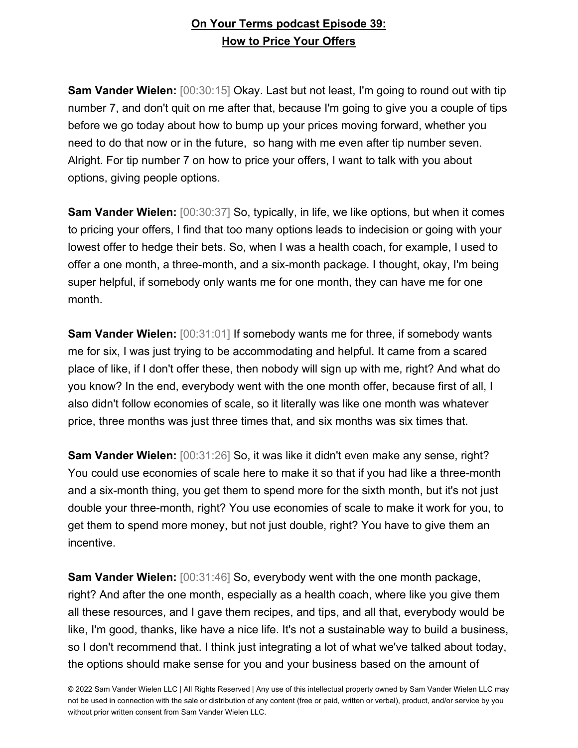**Sam Vander Wielen:** [00:30:15] Okay. Last but not least, I'm going to round out with tip number 7, and don't quit on me after that, because I'm going to give you a couple of tips before we go today about how to bump up your prices moving forward, whether you need to do that now or in the future, so hang with me even after tip number seven. Alright. For tip number 7 on how to price your offers, I want to talk with you about options, giving people options.

**Sam Vander Wielen:** [00:30:37] So, typically, in life, we like options, but when it comes to pricing your offers, I find that too many options leads to indecision or going with your lowest offer to hedge their bets. So, when I was a health coach, for example, I used to offer a one month, a three-month, and a six-month package. I thought, okay, I'm being super helpful, if somebody only wants me for one month, they can have me for one month.

**Sam Vander Wielen:** [00:31:01] If somebody wants me for three, if somebody wants me for six, I was just trying to be accommodating and helpful. It came from a scared place of like, if I don't offer these, then nobody will sign up with me, right? And what do you know? In the end, everybody went with the one month offer, because first of all, I also didn't follow economies of scale, so it literally was like one month was whatever price, three months was just three times that, and six months was six times that.

**Sam Vander Wielen:** [00:31:26] So, it was like it didn't even make any sense, right? You could use economies of scale here to make it so that if you had like a three-month and a six-month thing, you get them to spend more for the sixth month, but it's not just double your three-month, right? You use economies of scale to make it work for you, to get them to spend more money, but not just double, right? You have to give them an incentive.

**Sam Vander Wielen:** [00:31:46] So, everybody went with the one month package, right? And after the one month, especially as a health coach, where like you give them all these resources, and I gave them recipes, and tips, and all that, everybody would be like, I'm good, thanks, like have a nice life. It's not a sustainable way to build a business, so I don't recommend that. I think just integrating a lot of what we've talked about today, the options should make sense for you and your business based on the amount of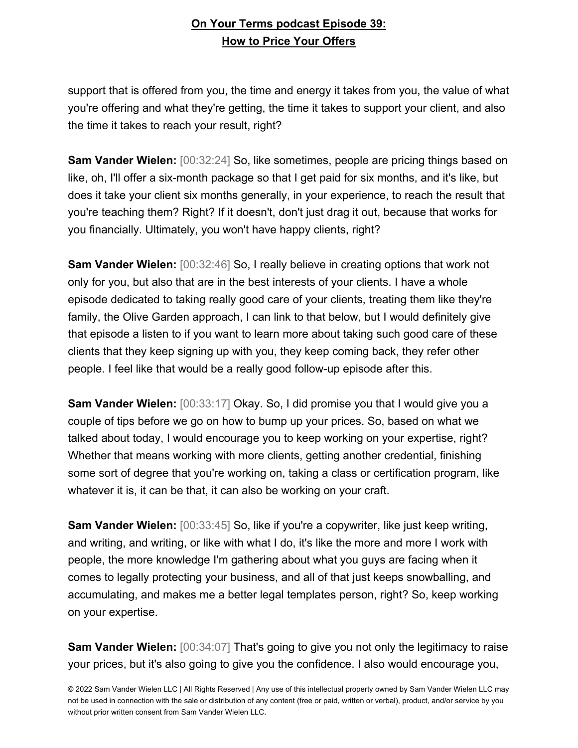support that is offered from you, the time and energy it takes from you, the value of what you're offering and what they're getting, the time it takes to support your client, and also the time it takes to reach your result, right?

**Sam Vander Wielen:** [00:32:24] So, like sometimes, people are pricing things based on like, oh, I'll offer a six-month package so that I get paid for six months, and it's like, but does it take your client six months generally, in your experience, to reach the result that you're teaching them? Right? If it doesn't, don't just drag it out, because that works for you financially. Ultimately, you won't have happy clients, right?

**Sam Vander Wielen:** [00:32:46] So, I really believe in creating options that work not only for you, but also that are in the best interests of your clients. I have a whole episode dedicated to taking really good care of your clients, treating them like they're family, the Olive Garden approach, I can link to that below, but I would definitely give that episode a listen to if you want to learn more about taking such good care of these clients that they keep signing up with you, they keep coming back, they refer other people. I feel like that would be a really good follow-up episode after this.

**Sam Vander Wielen:** [00:33:17] Okay. So, I did promise you that I would give you a couple of tips before we go on how to bump up your prices. So, based on what we talked about today, I would encourage you to keep working on your expertise, right? Whether that means working with more clients, getting another credential, finishing some sort of degree that you're working on, taking a class or certification program, like whatever it is, it can be that, it can also be working on your craft.

**Sam Vander Wielen:** [00:33:45] So, like if you're a copywriter, like just keep writing, and writing, and writing, or like with what I do, it's like the more and more I work with people, the more knowledge I'm gathering about what you guys are facing when it comes to legally protecting your business, and all of that just keeps snowballing, and accumulating, and makes me a better legal templates person, right? So, keep working on your expertise.

**Sam Vander Wielen:** [00:34:07] That's going to give you not only the legitimacy to raise your prices, but it's also going to give you the confidence. I also would encourage you,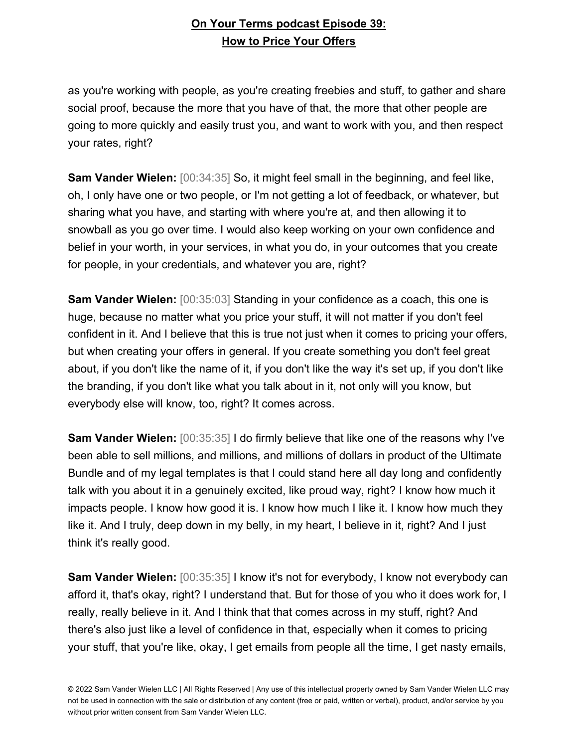as you're working with people, as you're creating freebies and stuff, to gather and share social proof, because the more that you have of that, the more that other people are going to more quickly and easily trust you, and want to work with you, and then respect your rates, right?

**Sam Vander Wielen:** [00:34:35] So, it might feel small in the beginning, and feel like, oh, I only have one or two people, or I'm not getting a lot of feedback, or whatever, but sharing what you have, and starting with where you're at, and then allowing it to snowball as you go over time. I would also keep working on your own confidence and belief in your worth, in your services, in what you do, in your outcomes that you create for people, in your credentials, and whatever you are, right?

**Sam Vander Wielen:** [00:35:03] Standing in your confidence as a coach, this one is huge, because no matter what you price your stuff, it will not matter if you don't feel confident in it. And I believe that this is true not just when it comes to pricing your offers, but when creating your offers in general. If you create something you don't feel great about, if you don't like the name of it, if you don't like the way it's set up, if you don't like the branding, if you don't like what you talk about in it, not only will you know, but everybody else will know, too, right? It comes across.

**Sam Vander Wielen:** [00:35:35] I do firmly believe that like one of the reasons why I've been able to sell millions, and millions, and millions of dollars in product of the Ultimate Bundle and of my legal templates is that I could stand here all day long and confidently talk with you about it in a genuinely excited, like proud way, right? I know how much it impacts people. I know how good it is. I know how much I like it. I know how much they like it. And I truly, deep down in my belly, in my heart, I believe in it, right? And I just think it's really good.

**Sam Vander Wielen:** [00:35:35] I know it's not for everybody, I know not everybody can afford it, that's okay, right? I understand that. But for those of you who it does work for, I really, really believe in it. And I think that that comes across in my stuff, right? And there's also just like a level of confidence in that, especially when it comes to pricing your stuff, that you're like, okay, I get emails from people all the time, I get nasty emails,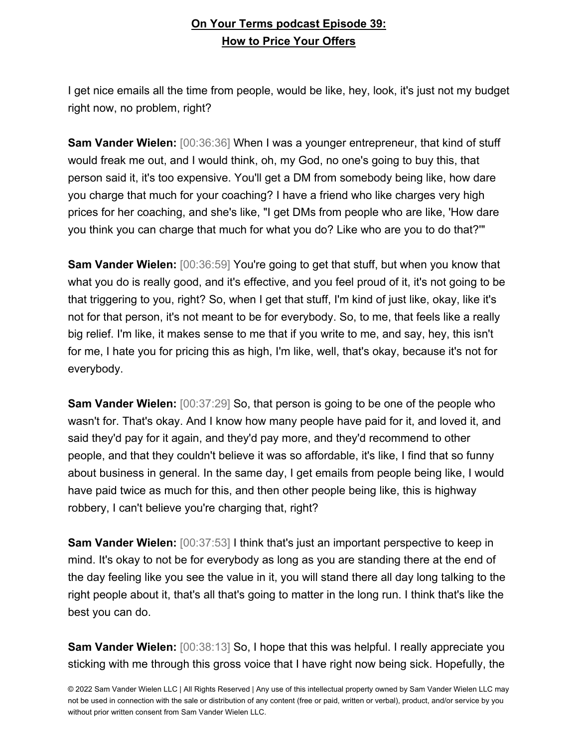I get nice emails all the time from people, would be like, hey, look, it's just not my budget right now, no problem, right?

**Sam Vander Wielen:** [00:36:36] When I was a younger entrepreneur, that kind of stuff would freak me out, and I would think, oh, my God, no one's going to buy this, that person said it, it's too expensive. You'll get a DM from somebody being like, how dare you charge that much for your coaching? I have a friend who like charges very high prices for her coaching, and she's like, "I get DMs from people who are like, 'How dare you think you can charge that much for what you do? Like who are you to do that?'"

**Sam Vander Wielen:** [00:36:59] You're going to get that stuff, but when you know that what you do is really good, and it's effective, and you feel proud of it, it's not going to be that triggering to you, right? So, when I get that stuff, I'm kind of just like, okay, like it's not for that person, it's not meant to be for everybody. So, to me, that feels like a really big relief. I'm like, it makes sense to me that if you write to me, and say, hey, this isn't for me, I hate you for pricing this as high, I'm like, well, that's okay, because it's not for everybody.

**Sam Vander Wielen:** [00:37:29] So, that person is going to be one of the people who wasn't for. That's okay. And I know how many people have paid for it, and loved it, and said they'd pay for it again, and they'd pay more, and they'd recommend to other people, and that they couldn't believe it was so affordable, it's like, I find that so funny about business in general. In the same day, I get emails from people being like, I would have paid twice as much for this, and then other people being like, this is highway robbery, I can't believe you're charging that, right?

**Sam Vander Wielen:** [00:37:53] I think that's just an important perspective to keep in mind. It's okay to not be for everybody as long as you are standing there at the end of the day feeling like you see the value in it, you will stand there all day long talking to the right people about it, that's all that's going to matter in the long run. I think that's like the best you can do.

**Sam Vander Wielen:**  $[00:38:13]$  So, I hope that this was helpful. I really appreciate you sticking with me through this gross voice that I have right now being sick. Hopefully, the